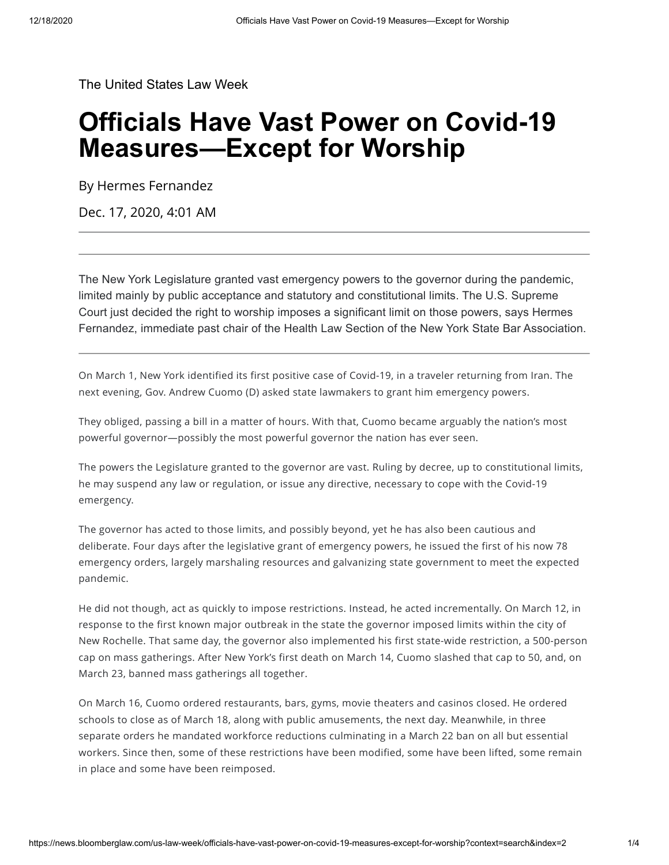[The United States Law Week](https://news.bloomberglaw.com/us-law-week/)

# **Officials Have Vast Power on Covid-19 Measures—Except for Worship**

By Hermes Fernandez

Dec. 17, 2020, 4:01 AM

The New York Legislature granted vast emergency powers to the governor during the pandemic, limited mainly by public acceptance and statutory and constitutional limits. The U.S. Supreme Court just decided the right to worship imposes a significant limit on those powers, says Hermes Fernandez, immediate past chair of the Health Law Section of the New York State Bar Association.

On March 1, New York identified its first positive case of Covid-19, in a traveler returning from [Iran](https://www.nytimes.com/2020/03/01/nyregion/new-york-coronvirus-confirmed.html). The next evening, Gov. Andrew Cuomo (D) asked state lawmakers to grant him emergency powers.

They obliged, passing a bill in a matter of hours. With that, Cuomo became arguably the nation's most powerful governor—possibly the most powerful governor the nation has ever seen.

The powers the Legislature granted to the governor are vast. Ruling by decree, up to constitutional limits, he may suspend any law or regulation, or issue any directive, necessary to cope with the Covid-19 emergency.

The governor has acted to those limits, and possibly beyond, yet he has also been cautious and deliberate. Four days after the legislative grant of emergency powers, he issued the first of his now 78 emergency orders, largely marshaling resources and galvanizing state government to meet the expected pandemic.

He did not though, act as quickly to impose restrictions. Instead, he acted incrementally. On March 12, in response to the first known major outbreak in the state the governor imposed limits within the city of New Rochelle. That same day, the governor also implemented his first state-wide restriction, a 500-person cap on mass gatherings. After New York's first death on March 14, Cuomo slashed that cap to 50, and, on March 23, banned mass gatherings all together.

On March 16, Cuomo ordered restaurants, bars, gyms, movie theaters and casinos closed. He ordered schools to close as of March 18, along with public amusements, the next day. Meanwhile, in three separate orders he mandated workforce reductions culminating in a March 22 ban on all but essential workers. Since then, some of these restrictions have been modified, some have been lifted, some remain in place and some have been reimposed.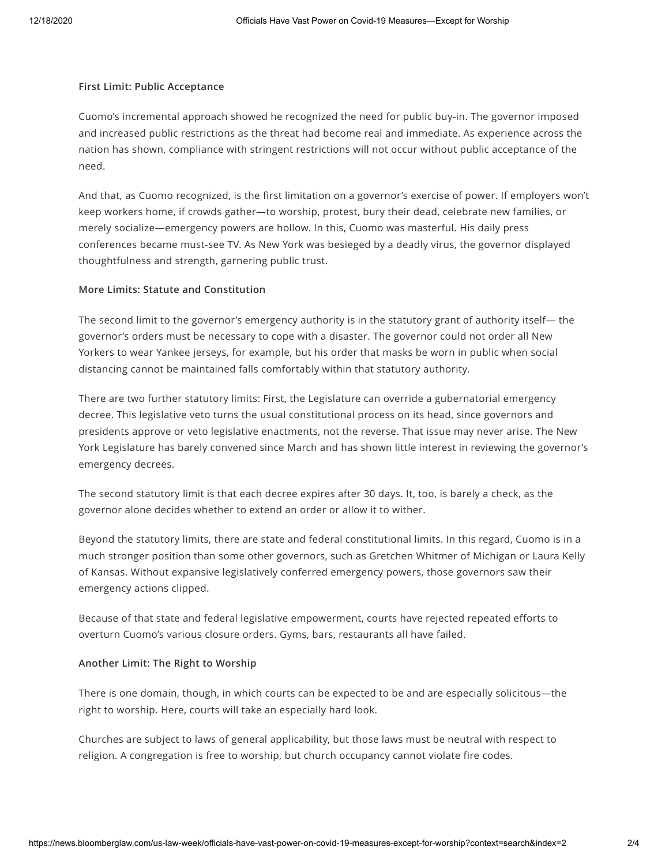#### **First Limit: Public Acceptance**

Cuomo's incremental approach showed he recognized the need for public buy-in. The governor imposed and increased public restrictions as the threat had become real and immediate. As experience across the nation has shown, compliance with stringent restrictions will not occur without public acceptance of the need.

And that, as Cuomo recognized, is the first limitation on a governor's exercise of power. If employers won't keep workers home, if crowds gather—to worship, protest, bury their dead, celebrate new families, or merely socialize—emergency powers are hollow. In this, Cuomo was masterful. His daily press conferences became must-see TV. As New York was besieged by a deadly virus, the governor displayed thoughtfulness and strength, garnering public trust.

### **More Limits: Statute and Constitution**

The second limit to the governor's emergency authority is in the statutory grant of authority itself— the governor's orders must be necessary to cope with a disaster. The governor could not order all New Yorkers to wear Yankee jerseys, for example, but his order that masks be worn in public when social distancing cannot be maintained falls comfortably within that statutory authority.

There are two further statutory limits: First, the Legislature can override a gubernatorial emergency decree. This legislative veto turns the usual constitutional process on its head, since governors and presidents approve or veto legislative enactments, not the reverse. That issue may never arise. The New York Legislature has barely convened since March and has shown little interest in reviewing the governor's emergency decrees.

The second statutory limit is that each decree expires after 30 days. It, too, is barely a check, as the governor alone decides whether to extend an order or allow it to wither.

Beyond the statutory limits, there are state and federal constitutional limits. In this regard, Cuomo is in a much stronger position than some other governors, such as Gretchen Whitmer of Michigan or Laura Kelly of Kansas. Without expansive legislatively conferred emergency powers, those governors saw their emergency actions clipped.

Because of that state and federal legislative empowerment, courts have rejected repeated efforts to overturn Cuomo's various closure orders. Gyms, bars, restaurants all have failed.

### **Another Limit: The Right to Worship**

There is one domain, though, in which courts can be expected to be and are especially solicitous—the right to worship. Here, courts will take an especially hard look.

Churches are subject to laws of general applicability, but those laws must be neutral with respect to religion. A congregation is free to worship, but church occupancy cannot violate fire codes.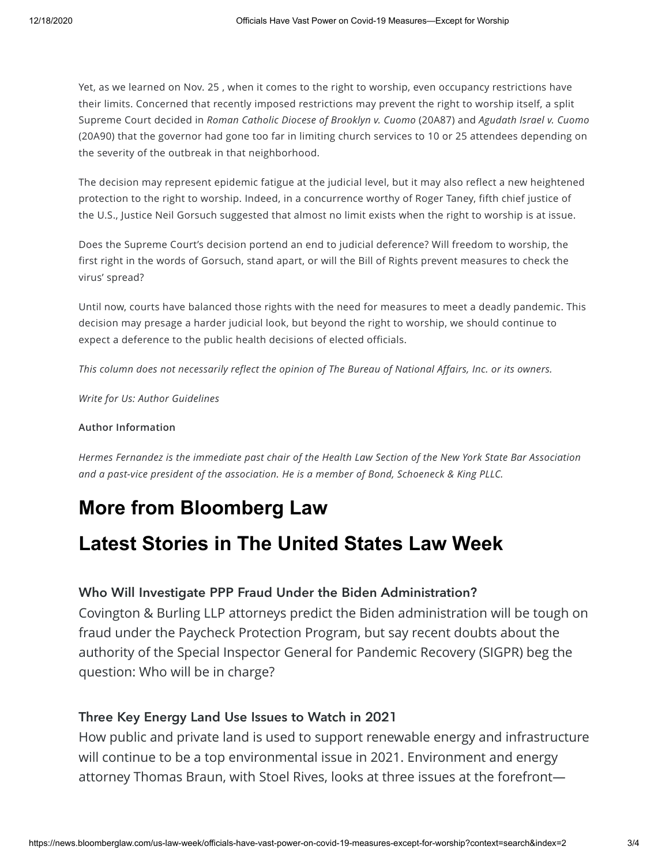Yet, as we learned on Nov. 25 , when it comes to the right to worship, even occupancy restrictions have their limits. Concerned that recently imposed restrictions may prevent the right to worship itself, a split Supreme Court decided in *Roman Catholic Diocese of Brooklyn v. Cuomo* [\(20A87\)](https://www.bloomberglaw.com/public/document/RomanCatholicDioceseofBrooklynvCuomoNo20A872020BL4612272020UsLexi?doc_id=X7UHQENG000N) and *Agudath Israel v. Cuomo* ([20A90](https://www.bloomberglaw.com/public/document/IsraelvCuomoNo20A902020BL460980USNov252020CourtOpinion?doc_id=X17ITAPQG000N)) that the [governor](https://news.bloomberglaw.com/us-law-week/high-court-blocks-covid-limits-on-new-york-churches-synagogues) had gone too far in limiting church services to 10 or 25 attendees depending on the severity of the outbreak in that neighborhood.

The decision may represent epidemic fatigue at the judicial level, but it may also reflect a new heightened protection to the right to worship. Indeed, in a concurrence worthy of Roger Taney, fifth chief justice of the U.S., Justice Neil Gorsuch suggested that almost no limit exists when the right to worship is at issue.

Does the Supreme Court's decision portend an end to judicial deference? Will freedom to worship, the first right in the words of Gorsuch, stand apart, or will the Bill of Rights prevent measures to check the virus' spread?

Until now, courts have balanced those rights with the need for measures to meet a deadly pandemic. This decision may presage a harder judicial look, but beyond the right to worship, we should continue to expect a deference to the public health decisions of elected officials.

This column does not necessarily reflect the opinion of The Bureau of National Affairs, Inc. or its owners.

*Write for Us: Author [Guidelines](https://pro.bloomberglaw.com/author-guidelines/)*

### **Author Information**

Hermes [Fernandez](https://www.bsk.com/people/hermes-fernandez/government-relations) is the immediate past chair of the Health Law Section of the New York State Bar Association *and a past-vice president of the association. He is a member of Bond, Schoeneck & King PLLC.*

## **More from Bloomberg Law**

### **Latest Stories in The United States Law Week**

### Who Will Investigate PPP Fraud Under the Biden [Administration?](https://news.bloomberglaw.com/us-law-week/who-will-investigate-ppp-fraud-under-the-biden-administration)

Covington & Burling LLP attorneys predict the Biden administration will be tough on fraud under the Paycheck Protection Program, but say recent doubts about the authority of the Special Inspector General for Pandemic Recovery (SIGPR) beg the question: Who will be in charge?

### Three Key [Energy](https://news.bloomberglaw.com/us-law-week/three-key-energy-land-use-issues-to-watch-in-2021) Land Use Issues to Watch in 2021

How public and private land is used to support renewable energy and infrastructure will continue to be a top environmental issue in 2021. Environment and energy attorney Thomas Braun, with Stoel Rives, looks at three issues at the forefront